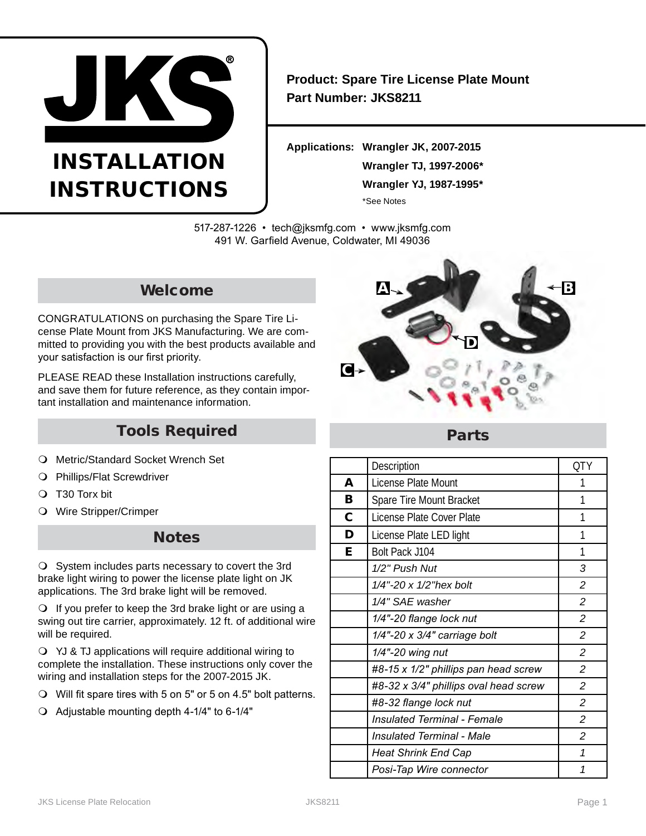

# INSTALLATION INSTRUCTIONS

**Product: Spare Tire License Plate Mount Part Number: JKS8211**

**Applications: Wrangler JK, 2007-2015 Wrangler TJ, 1997-2006\* Wrangler YJ, 1987-1995\*** \*See Notes

517-287-1226 • tech@jksmfg.com • www.jksmfg.com 491 W. Garfield Avenue, Coldwater, MI 49036

## Welcome

CONGRATULATIONS on purchasing the Spare Tire License Plate Mount from JKS Manufacturing. We are committed to providing you with the best products available and your satisfaction is our first priority.

PLEASE READ these Installation instructions carefully, and save them for future reference, as they contain important installation and maintenance information.

## Tools Required

- O Metric/Standard Socket Wrench Set
- Phillips/Flat Screwdriver
- T30 Torx bit
- Wire Stripper/Crimper

## **Notes**

 $\bigcirc$  System includes parts necessary to covert the 3rd brake light wiring to power the license plate light on JK applications. The 3rd brake light will be removed.

O If you prefer to keep the 3rd brake light or are using a swing out tire carrier, approximately. 12 ft. of additional wire will be required.

 YJ & TJ applications will require additional wiring to complete the installation. These instructions only cover the wiring and installation steps for the 2007-2015 JK.

- Will fit spare tires with 5 on 5" or 5 on 4.5" bolt patterns.
- Adjustable mounting depth 4-1/4" to 6-1/4"



### Parts

|   | Description                           | <b>QTY</b>     |
|---|---------------------------------------|----------------|
| A | License Plate Mount                   | 1              |
| В | Spare Tire Mount Bracket              | 1              |
| C | License Plate Cover Plate             | 1              |
| D | License Plate LED light               | 1              |
| Е | Bolt Pack J104                        | 1              |
|   | 1/2" Push Nut                         | 3              |
|   | 1/4"-20 x 1/2"hex bolt                | 2              |
|   | 1/4" SAE washer                       | $\overline{c}$ |
|   | 1/4"-20 flange lock nut               | $\overline{c}$ |
|   | 1/4"-20 x 3/4" carriage bolt          | $\overline{c}$ |
|   | 1/4"-20 wing nut                      | $\overline{c}$ |
|   | #8-15 x 1/2" phillips pan head screw  | $\overline{c}$ |
|   | #8-32 x 3/4" phillips oval head screw | 2              |
|   | #8-32 flange lock nut                 | $\overline{c}$ |
|   | <b>Insulated Terminal - Female</b>    | 2              |
|   | <b>Insulated Terminal - Male</b>      | $\overline{c}$ |
|   | <b>Heat Shrink End Cap</b>            | 1              |
|   | Posi-Tap Wire connector               | 1              |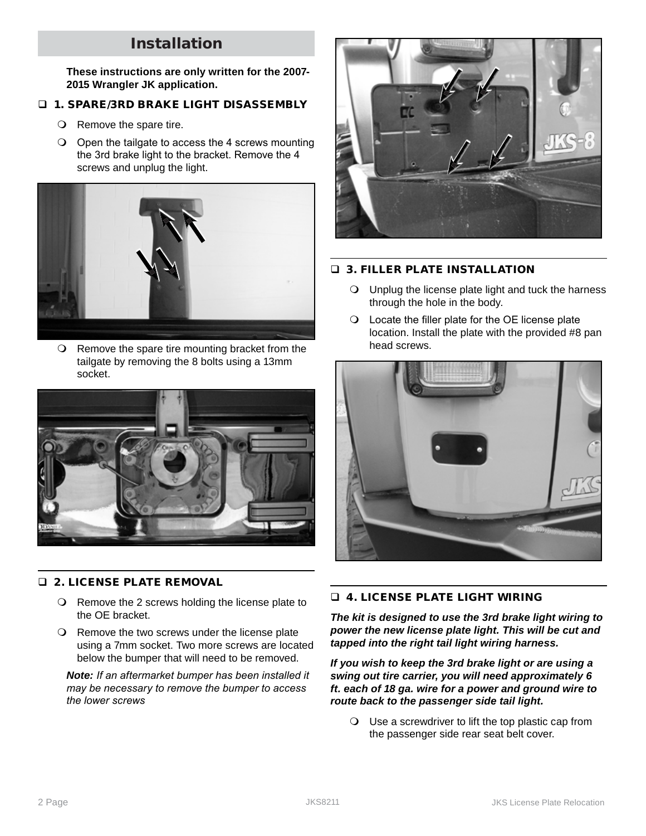## Installation

**These instructions are only written for the 2007- 2015 Wrangler JK application.**

#### **1. SPARE/3RD BRAKE LIGHT DISASSEMBLY**

- Remove the spare tire.
- O Open the tailgate to access the 4 screws mounting the 3rd brake light to the bracket. Remove the 4 screws and unplug the light.



O Remove the spare tire mounting bracket from the tailgate by removing the 8 bolts using a 13mm socket.



#### **Q 2. LICENSE PLATE REMOVAL**

- O Remove the 2 screws holding the license plate to the OE bracket.
- O Remove the two screws under the license plate using a 7mm socket. Two more screws are located below the bumper that will need to be removed.

*Note: If an aftermarket bumper has been installed it may be necessary to remove the bumper to access the lower screws*



#### **D. 3. FILLER PLATE INSTALLATION**

- Unplug the license plate light and tuck the harness through the hole in the body.
- Locate the filler plate for the OE license plate location. Install the plate with the provided #8 pan head screws.



#### 4. LICENSE PLATE LIGHT WIRING

*The kit is designed to use the 3rd brake light wiring to power the new license plate light. This will be cut and tapped into the right tail light wiring harness.*

*If you wish to keep the 3rd brake light or are using a swing out tire carrier, you will need approximately 6 ft. each of 18 ga. wire for a power and ground wire to route back to the passenger side tail light.*

 Use a screwdriver to lift the top plastic cap from the passenger side rear seat belt cover.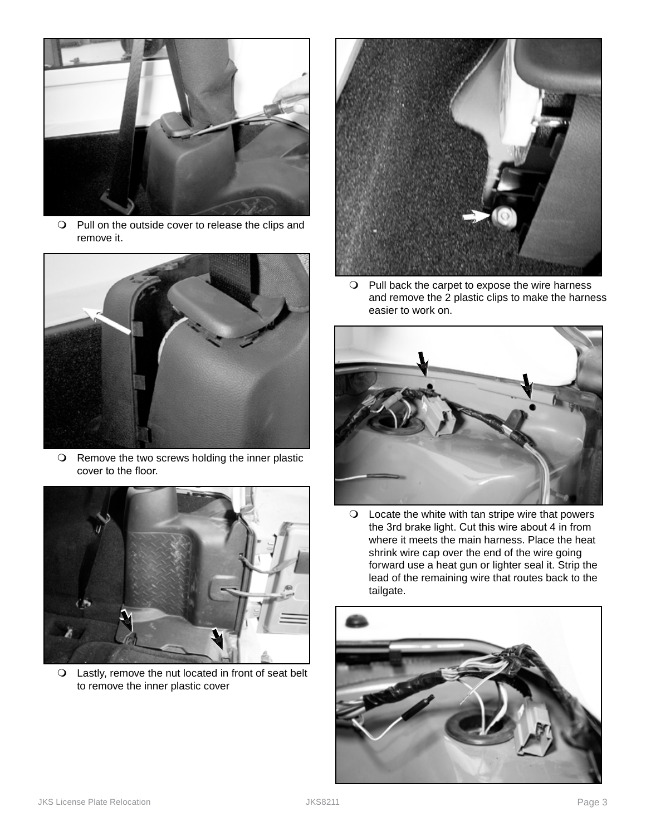

O Pull on the outside cover to release the clips and remove it.



O Remove the two screws holding the inner plastic cover to the floor.



 Lastly, remove the nut located in front of seat belt to remove the inner plastic cover



 $\bigcirc$  Pull back the carpet to expose the wire harness and remove the 2 plastic clips to make the harness easier to work on.



 Locate the white with tan stripe wire that powers the 3rd brake light. Cut this wire about 4 in from where it meets the main harness. Place the heat shrink wire cap over the end of the wire going forward use a heat gun or lighter seal it. Strip the lead of the remaining wire that routes back to the tailgate.